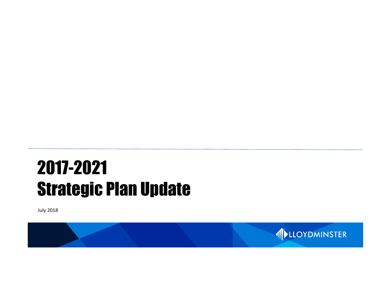# 2017-2021 Strategic Plan Update

July 2018

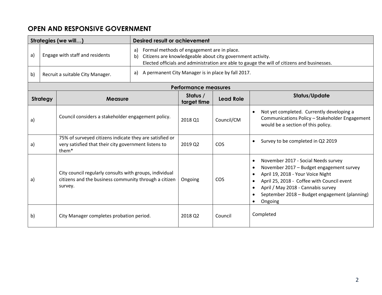# **OPEN AND RESPONSIVE GOVERNMENT**

|                                       |                                                                                                                                      | Strategies (we will)                                                                                                                                                                                                | Desired result or achievement |                                                    |                  |                                                                                                                                                                                                                                                                                                |  |  |  |
|---------------------------------------|--------------------------------------------------------------------------------------------------------------------------------------|---------------------------------------------------------------------------------------------------------------------------------------------------------------------------------------------------------------------|-------------------------------|----------------------------------------------------|------------------|------------------------------------------------------------------------------------------------------------------------------------------------------------------------------------------------------------------------------------------------------------------------------------------------|--|--|--|
| Engage with staff and residents<br>a) |                                                                                                                                      | Formal methods of engagement are in place.<br>a)<br>Citizens are knowledgeable about city government activity.<br>b)<br>Elected officials and administration are able to gauge the will of citizens and businesses. |                               |                                                    |                  |                                                                                                                                                                                                                                                                                                |  |  |  |
| b)                                    | Recruit a suitable City Manager.                                                                                                     |                                                                                                                                                                                                                     | a)                            | A permanent City Manager is in place by fall 2017. |                  |                                                                                                                                                                                                                                                                                                |  |  |  |
|                                       |                                                                                                                                      |                                                                                                                                                                                                                     |                               | <b>Performance measures</b>                        |                  |                                                                                                                                                                                                                                                                                                |  |  |  |
|                                       | <b>Strategy</b>                                                                                                                      | <b>Measure</b>                                                                                                                                                                                                      |                               | Status /<br>target time                            | <b>Lead Role</b> | <b>Status/Update</b>                                                                                                                                                                                                                                                                           |  |  |  |
| a)                                    |                                                                                                                                      | Council considers a stakeholder engagement policy.                                                                                                                                                                  |                               | 2018 Q1                                            | Council/CM       | Not yet completed. Currently developing a<br>Communications Policy - Stakeholder Engagement<br>would be a section of this policy.                                                                                                                                                              |  |  |  |
| a)                                    | 75% of surveyed citizens indicate they are satisfied or<br>very satisfied that their city government listens to<br>them <sup>*</sup> |                                                                                                                                                                                                                     |                               | 2019 Q2                                            | COS              | Survey to be completed in Q2 2019<br>$\bullet$                                                                                                                                                                                                                                                 |  |  |  |
| a)                                    |                                                                                                                                      | City council regularly consults with groups, individual<br>citizens and the business community through a citizen<br>survey.                                                                                         |                               | Ongoing                                            | COS              | November 2017 - Social Needs survey<br>$\bullet$<br>November 2017 - Budget engagement survey<br>April 19, 2018 - Your Voice Night<br>April 25, 2018 - Coffee with Council event<br>April / May 2018 - Cannabis survey<br>September 2018 - Budget engagement (planning)<br>Ongoing<br>$\bullet$ |  |  |  |
| b)                                    |                                                                                                                                      | City Manager completes probation period.                                                                                                                                                                            |                               | 2018 Q2                                            | Council          | Completed                                                                                                                                                                                                                                                                                      |  |  |  |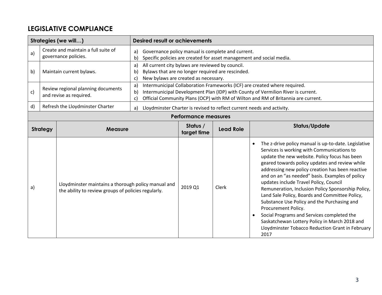# **LEGISLATIVE COMPLIANCE**

| Strategies (we will) |                                                                                                                                                                                             |                                                                                                            | <b>Desired result or achievements</b> |                                                                                                                                                                                                                                                    |                                                   |                                                                                                                                                                                                                                                                                                                                                                                                                                                                                                                                                                                                                                                                                                 |  |  |
|----------------------|---------------------------------------------------------------------------------------------------------------------------------------------------------------------------------------------|------------------------------------------------------------------------------------------------------------|---------------------------------------|----------------------------------------------------------------------------------------------------------------------------------------------------------------------------------------------------------------------------------------------------|---------------------------------------------------|-------------------------------------------------------------------------------------------------------------------------------------------------------------------------------------------------------------------------------------------------------------------------------------------------------------------------------------------------------------------------------------------------------------------------------------------------------------------------------------------------------------------------------------------------------------------------------------------------------------------------------------------------------------------------------------------------|--|--|
| a)                   |                                                                                                                                                                                             | Create and maintain a full suite of<br>governance policies.                                                | a)<br>b)                              |                                                                                                                                                                                                                                                    | Governance policy manual is complete and current. | Specific policies are created for asset management and social media.                                                                                                                                                                                                                                                                                                                                                                                                                                                                                                                                                                                                                            |  |  |
| b)                   | All current city bylaws are reviewed by council.<br>a)<br>Maintain current bylaws.<br>Bylaws that are no longer required are rescinded.<br>b)<br>New bylaws are created as necessary.<br>C) |                                                                                                            |                                       |                                                                                                                                                                                                                                                    |                                                   |                                                                                                                                                                                                                                                                                                                                                                                                                                                                                                                                                                                                                                                                                                 |  |  |
| c)                   | a)<br>Review regional planning documents<br>b)<br>and revise as required.                                                                                                                   |                                                                                                            | c)                                    | Intermunicipal Collaboration Frameworks (ICF) are created where required.<br>Intermunicipal Development Plan (IDP) with County of Vermilion River is current.<br>Official Community Plans (OCP) with RM of Wilton and RM of Britannia are current. |                                                   |                                                                                                                                                                                                                                                                                                                                                                                                                                                                                                                                                                                                                                                                                                 |  |  |
| $\mathsf{d}$         | Refresh the Lloydminster Charter<br>a)                                                                                                                                                      |                                                                                                            |                                       |                                                                                                                                                                                                                                                    |                                                   | Lloydminster Charter is revised to reflect current needs and activity.                                                                                                                                                                                                                                                                                                                                                                                                                                                                                                                                                                                                                          |  |  |
|                      |                                                                                                                                                                                             |                                                                                                            |                                       | <b>Performance measures</b>                                                                                                                                                                                                                        |                                                   |                                                                                                                                                                                                                                                                                                                                                                                                                                                                                                                                                                                                                                                                                                 |  |  |
|                      | <b>Strategy</b>                                                                                                                                                                             | <b>Measure</b>                                                                                             |                                       | Status /<br>target time                                                                                                                                                                                                                            | <b>Lead Role</b>                                  | <b>Status/Update</b>                                                                                                                                                                                                                                                                                                                                                                                                                                                                                                                                                                                                                                                                            |  |  |
| a)                   |                                                                                                                                                                                             | Lloydminster maintains a thorough policy manual and<br>the ability to review groups of policies regularly. |                                       | 2019 Q1                                                                                                                                                                                                                                            | Clerk                                             | The z-drive policy manual is up-to-date. Legislative<br>Services is working with Communications to<br>update the new website. Policy focus has been<br>geared towards policy updates and review while<br>addressing new policy creation has been reactive<br>and on an "as needed" basis. Examples of policy<br>updates include Travel Policy, Council<br>Remuneration, Inclusion Policy Sponsorship Policy,<br>Land Sale Policy, Boards and Committee Policy,<br>Substance Use Policy and the Purchasing and<br>Procurement Policy.<br>Social Programs and Services completed the<br>Saskatchewan Lottery Policy in March 2018 and<br>Lloydminster Tobacco Reduction Grant in February<br>2017 |  |  |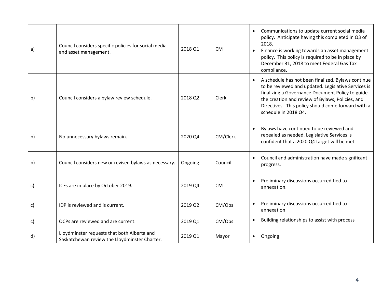| a) | Council considers specific policies for social media<br>and asset management.                | 2018 Q1 | <b>CM</b> | Communications to update current social media<br>$\bullet$<br>policy. Anticipate having this completed in Q3 of<br>2018.<br>Finance is working towards an asset management<br>policy. This policy is required to be in place by<br>December 31, 2018 to meet Federal Gas Tax<br>compliance.                  |
|----|----------------------------------------------------------------------------------------------|---------|-----------|--------------------------------------------------------------------------------------------------------------------------------------------------------------------------------------------------------------------------------------------------------------------------------------------------------------|
| b) | Council considers a bylaw review schedule.                                                   | 2018 Q2 | Clerk     | A schedule has not been finalized. Bylaws continue<br>$\bullet$<br>to be reviewed and updated. Legislative Services is<br>finalizing a Governance Document Policy to guide<br>the creation and review of Bylaws, Policies, and<br>Directives. This policy should come forward with a<br>schedule in 2018 Q4. |
| b) | No unnecessary bylaws remain.                                                                | 2020 Q4 | CM/Clerk  | Bylaws have continued to be reviewed and<br>repealed as needed. Legislative Services is<br>confident that a 2020 Q4 target will be met.                                                                                                                                                                      |
| b) | Council considers new or revised bylaws as necessary.                                        | Ongoing | Council   | Council and administration have made significant<br>progress.                                                                                                                                                                                                                                                |
| c) | ICFs are in place by October 2019.                                                           | 2019 Q4 | <b>CM</b> | Preliminary discussions occurred tied to<br>annexation.                                                                                                                                                                                                                                                      |
| c) | IDP is reviewed and is current.                                                              | 2019 Q2 | CM/Ops    | Preliminary discussions occurred tied to<br>annexation                                                                                                                                                                                                                                                       |
| c) | OCPs are reviewed and are current.                                                           | 2019 Q1 | CM/Ops    | Building relationships to assist with process                                                                                                                                                                                                                                                                |
| d) | Lloydminster requests that both Alberta and<br>Saskatchewan review the Lloydminster Charter. | 2019 Q1 | Mayor     | Ongoing<br>$\bullet$                                                                                                                                                                                                                                                                                         |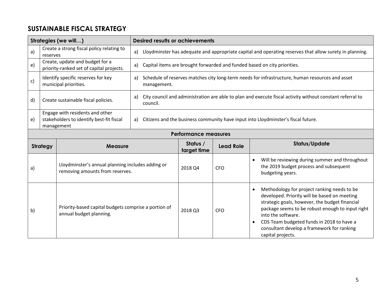# **SUSTAINABLE FISCAL STRATEGY**

|    |                                                                                  | Strategies (we will)                                                                                                                                               | <b>Desired results or achievements</b>                                                  |                                                                                                 |                  |                                                                                                                                                                                                                                                                                                                                         |
|----|----------------------------------------------------------------------------------|--------------------------------------------------------------------------------------------------------------------------------------------------------------------|-----------------------------------------------------------------------------------------|-------------------------------------------------------------------------------------------------|------------------|-----------------------------------------------------------------------------------------------------------------------------------------------------------------------------------------------------------------------------------------------------------------------------------------------------------------------------------------|
| a) | reserves                                                                         | Create a strong fiscal policy relating to                                                                                                                          | a)                                                                                      |                                                                                                 |                  | Lloydminster has adequate and appropriate capital and operating reserves that allow surety in planning.                                                                                                                                                                                                                                 |
| e) |                                                                                  | Create, update and budget for a<br>priority-ranked set of capital projects.                                                                                        | a)                                                                                      |                                                                                                 |                  | Capital items are brought forwarded and funded based on city priorities.                                                                                                                                                                                                                                                                |
| c) | Identify specific reserves for key<br>a)<br>municipal priorities.<br>management. |                                                                                                                                                                    |                                                                                         | Schedule of reserves matches city long-term needs for infrastructure, human resources and asset |                  |                                                                                                                                                                                                                                                                                                                                         |
| d) |                                                                                  | City council and administration are able to plan and execute fiscal activity without constant referral to<br>a)<br>Create sustainable fiscal policies.<br>council. |                                                                                         |                                                                                                 |                  |                                                                                                                                                                                                                                                                                                                                         |
| e) |                                                                                  | Engage with residents and other<br>stakeholders to identify best-fit fiscal<br>management                                                                          | Citizens and the business community have input into Lloydminster's fiscal future.<br>a) |                                                                                                 |                  |                                                                                                                                                                                                                                                                                                                                         |
|    |                                                                                  |                                                                                                                                                                    |                                                                                         | <b>Performance measures</b>                                                                     |                  |                                                                                                                                                                                                                                                                                                                                         |
|    | <b>Strategy</b>                                                                  | <b>Measure</b>                                                                                                                                                     |                                                                                         | Status /<br>target time                                                                         | <b>Lead Role</b> | <b>Status/Update</b>                                                                                                                                                                                                                                                                                                                    |
| a) |                                                                                  | Lloydminster's annual planning includes adding or<br>removing amounts from reserves.                                                                               |                                                                                         | 2018 Q4                                                                                         | <b>CFO</b>       | Will be reviewing during summer and throughout<br>the 2019 budget process and subsequent<br>budgeting years.                                                                                                                                                                                                                            |
| b) |                                                                                  | Priority-based capital budgets comprise a portion of<br>annual budget planning.                                                                                    |                                                                                         | 2018 Q3                                                                                         | <b>CFO</b>       | Methodology for project ranking needs to be<br>developed. Priority will be based on meeting<br>strategic goals, however, the budget financial<br>package seems to be robust enough to input right<br>into the software.<br>CDS Team budgeted funds in 2018 to have a<br>consultant develop a framework for ranking<br>capital projects. |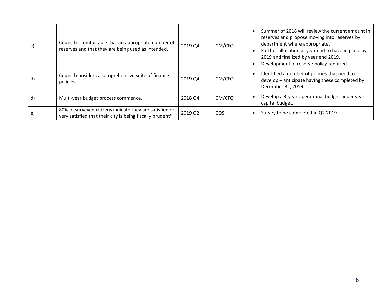| C) | Council is comfortable that an appropriate number of<br>reserves and that they are being used as intended.           | 2019 Q4 | CM/CFO     | Summer of 2018 will review the current amount in<br>reserves and propose moving into reserves by<br>department where appropriate.<br>Further allocation at year end to have in place by<br>2019 and finalized by year end 2019.<br>Development of reserve policy required. |
|----|----------------------------------------------------------------------------------------------------------------------|---------|------------|----------------------------------------------------------------------------------------------------------------------------------------------------------------------------------------------------------------------------------------------------------------------------|
| d) | Council considers a comprehensive suite of finance<br>policies.                                                      | 2019 Q4 | CM/CFO     | Identified a number of policies that need to<br>develop - anticipate having these completed by<br>December 31, 2019.                                                                                                                                                       |
| d) | Multi-year budget process commence.                                                                                  | 2018 Q4 | CM/CFO     | Develop a 3-year operational budget and 5-year<br>capital budget.                                                                                                                                                                                                          |
| e) | 80% of surveyed citizens indicate they are satisfied or<br>very satisfied that their city is being fiscally prudent* | 2019 Q2 | <b>COS</b> | Survey to be completed in Q2 2019                                                                                                                                                                                                                                          |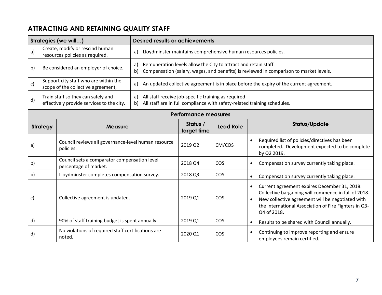# **ATTRACTING AND RETAINING QUALITY STAFF**

|                                   |                                                                                 | Strategies (we will)                                                        | <b>Desired results or achievements</b> |                                                                                                                                                           |                  |                                                                                                                                                                                                                                                            |  |  |  |
|-----------------------------------|---------------------------------------------------------------------------------|-----------------------------------------------------------------------------|----------------------------------------|-----------------------------------------------------------------------------------------------------------------------------------------------------------|------------------|------------------------------------------------------------------------------------------------------------------------------------------------------------------------------------------------------------------------------------------------------------|--|--|--|
| a)                                |                                                                                 | Create, modify or rescind human<br>resources policies as required.          | a)                                     |                                                                                                                                                           |                  | Lloydminster maintains comprehensive human resources policies.                                                                                                                                                                                             |  |  |  |
| b)                                |                                                                                 | Be considered an employer of choice.                                        | a)<br>b)                               | Remuneration levels allow the City to attract and retain staff.<br>Compensation (salary, wages, and benefits) is reviewed in comparison to market levels. |                  |                                                                                                                                                                                                                                                            |  |  |  |
| c)                                |                                                                                 | Support city staff who are within the<br>scope of the collective agreement, | a)                                     | An updated collective agreement is in place before the expiry of the current agreement.                                                                   |                  |                                                                                                                                                                                                                                                            |  |  |  |
| d)                                | Train staff so they can safely and<br>effectively provide services to the city. |                                                                             | a)<br>b)                               | All staff receive job-specific training as required<br>All staff are in full compliance with safety-related training schedules.                           |                  |                                                                                                                                                                                                                                                            |  |  |  |
|                                   |                                                                                 |                                                                             |                                        | <b>Performance measures</b>                                                                                                                               |                  |                                                                                                                                                                                                                                                            |  |  |  |
| <b>Strategy</b><br><b>Measure</b> |                                                                                 |                                                                             |                                        | Status /<br>target time                                                                                                                                   | <b>Lead Role</b> | <b>Status/Update</b>                                                                                                                                                                                                                                       |  |  |  |
| a)                                |                                                                                 | Council reviews all governance-level human resource<br>policies.            |                                        | 2019 Q2                                                                                                                                                   | CM/COS           | Required list of policies/directives has been<br>completed. Development expected to be complete<br>by Q2 2019.                                                                                                                                             |  |  |  |
| $\mathsf{b}$                      |                                                                                 | Council sets a comparator compensation level<br>percentage of market.       |                                        | 2018 Q4                                                                                                                                                   | COS              | Compensation survey currently taking place.<br>$\bullet$                                                                                                                                                                                                   |  |  |  |
| b)                                |                                                                                 | Lloydminster completes compensation survey.                                 |                                        | 2018 Q3                                                                                                                                                   | <b>COS</b>       | Compensation survey currently taking place.<br>$\bullet$                                                                                                                                                                                                   |  |  |  |
| c)                                |                                                                                 | Collective agreement is updated.                                            |                                        | 2019 Q1                                                                                                                                                   | COS              | Current agreement expires December 31, 2018.<br>$\bullet$<br>Collective bargaining will commence in fall of 2018.<br>New collective agreement will be negotiated with<br>$\bullet$<br>the International Association of Fire Fighters in Q3-<br>Q4 of 2018. |  |  |  |
| d)                                |                                                                                 | 90% of staff training budget is spent annually.                             |                                        | 2019 Q1                                                                                                                                                   | COS              | Results to be shared with Council annually.<br>$\bullet$                                                                                                                                                                                                   |  |  |  |
| d)                                |                                                                                 | No violations of required staff certifications are<br>noted.                |                                        | 2020 Q1                                                                                                                                                   | COS              | Continuing to improve reporting and ensure<br>$\bullet$<br>employees remain certified.                                                                                                                                                                     |  |  |  |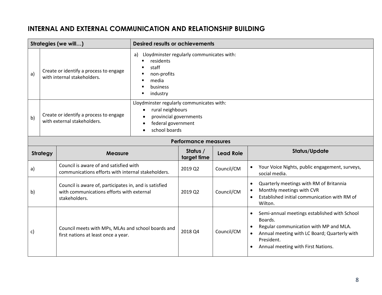### **INTERNAL AND EXTERNAL COMMUNICATION AND RELATIONSHIP BUILDING**

| Strategies (we will) |                                                                             |                                                                                                                      | <b>Desired results or achievements</b>                                                                                         |                             |                  |                                                                                                                                                                                                                                 |
|----------------------|-----------------------------------------------------------------------------|----------------------------------------------------------------------------------------------------------------------|--------------------------------------------------------------------------------------------------------------------------------|-----------------------------|------------------|---------------------------------------------------------------------------------------------------------------------------------------------------------------------------------------------------------------------------------|
| a)                   | a)<br>Create or identify a process to engage<br>with internal stakeholders. |                                                                                                                      | Lloydminster regularly communicates with:<br>residents<br>staff<br>non-profits<br>media<br>business<br>industry                |                             |                  |                                                                                                                                                                                                                                 |
| b)                   |                                                                             | Create or identify a process to engage<br>with external stakeholders.                                                | Lloydminster regularly communicates with:<br>rural neighbours<br>provincial governments<br>federal government<br>school boards |                             |                  |                                                                                                                                                                                                                                 |
|                      |                                                                             |                                                                                                                      |                                                                                                                                | <b>Performance measures</b> |                  |                                                                                                                                                                                                                                 |
|                      | <b>Strategy</b>                                                             | <b>Measure</b>                                                                                                       |                                                                                                                                | Status /<br>target time     | <b>Lead Role</b> | <b>Status/Update</b>                                                                                                                                                                                                            |
| a)                   |                                                                             | Council is aware of and satisfied with<br>communications efforts with internal stakeholders.                         |                                                                                                                                | 2019 Q2                     | Council/CM       | Your Voice Nights, public engagement, surveys,<br>$\bullet$<br>social media.                                                                                                                                                    |
| b)                   |                                                                             | Council is aware of, participates in, and is satisfied<br>with communications efforts with external<br>stakeholders. |                                                                                                                                | 2019 Q2                     | Council/CM       | Quarterly meetings with RM of Britannia<br>$\bullet$<br>Monthly meetings with CVR<br>$\bullet$<br>Established initial communication with RM of<br>$\bullet$<br>Wilton.                                                          |
| c)                   |                                                                             | Council meets with MPs, MLAs and school boards and<br>first nations at least once a year.                            |                                                                                                                                | 2018 Q4                     | Council/CM       | Semi-annual meetings established with School<br>$\bullet$<br>Boards.<br>Regular communication with MP and MLA.<br>Annual meeting with LC Board; Quarterly with<br>$\bullet$<br>President.<br>Annual meeting with First Nations. |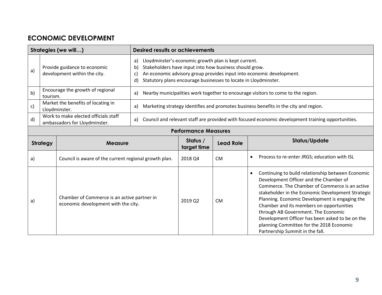# **ECONOMIC DEVELOPMENT**

|                             |                                                                       | Strategies (we will)                                                               |                                                                                                                                                                                                                                                                                                       | <b>Desired results or achievements</b> |                  |                                                                                                                                                                                                                                                                                                                                                                                                                                                                                        |  |
|-----------------------------|-----------------------------------------------------------------------|------------------------------------------------------------------------------------|-------------------------------------------------------------------------------------------------------------------------------------------------------------------------------------------------------------------------------------------------------------------------------------------------------|----------------------------------------|------------------|----------------------------------------------------------------------------------------------------------------------------------------------------------------------------------------------------------------------------------------------------------------------------------------------------------------------------------------------------------------------------------------------------------------------------------------------------------------------------------------|--|
| a)                          | Provide guidance to economic<br>development within the city.          |                                                                                    | Lloydminster's economic growth plan is kept current.<br>a)<br>Stakeholders have input into how business should grow.<br>$\mathsf{b}$<br>An economic advisory group provides input into economic development.<br>$\mathsf{C}$<br>Statutory plans encourage businesses to locate in Lloydminster.<br>d) |                                        |                  |                                                                                                                                                                                                                                                                                                                                                                                                                                                                                        |  |
| b)                          | tourism.                                                              | Encourage the growth of regional                                                   | a)                                                                                                                                                                                                                                                                                                    |                                        |                  | Nearby municipalities work together to encourage visitors to come to the region.                                                                                                                                                                                                                                                                                                                                                                                                       |  |
| c)                          |                                                                       | Market the benefits of locating in<br>Lloydminster.                                | a)                                                                                                                                                                                                                                                                                                    |                                        |                  | Marketing strategy identifies and promotes business benefits in the city and region.                                                                                                                                                                                                                                                                                                                                                                                                   |  |
| d)                          | Work to make elected officials staff<br>ambassadors for Lloydminster. |                                                                                    | a)                                                                                                                                                                                                                                                                                                    |                                        |                  | Council and relevant staff are provided with focused economic development training opportunities.                                                                                                                                                                                                                                                                                                                                                                                      |  |
| <b>Performance Measures</b> |                                                                       |                                                                                    |                                                                                                                                                                                                                                                                                                       |                                        |                  |                                                                                                                                                                                                                                                                                                                                                                                                                                                                                        |  |
|                             | <b>Strategy</b><br><b>Measure</b>                                     |                                                                                    |                                                                                                                                                                                                                                                                                                       | Status /<br>target time                | <b>Lead Role</b> | <b>Status/Update</b>                                                                                                                                                                                                                                                                                                                                                                                                                                                                   |  |
| a)                          |                                                                       | Council is aware of the current regional growth plan.                              |                                                                                                                                                                                                                                                                                                       | 2018 Q4                                | <b>CM</b>        | Process to re-enter JRGS; education with ISL<br>$\bullet$                                                                                                                                                                                                                                                                                                                                                                                                                              |  |
| a)                          |                                                                       | Chamber of Commerce is an active partner in<br>economic development with the city. |                                                                                                                                                                                                                                                                                                       | 2019 Q2                                | <b>CM</b>        | Continuing to build relationship between Economic<br>$\bullet$<br>Development Officer and the Chamber of<br>Commerce. The Chamber of Commerce is an active<br>stakeholder in the Economic Development Strategic<br>Planning. Economic Development is engaging the<br>Chamber and its members on opportunities<br>through AB Government. The Economic<br>Development Officer has been asked to be on the<br>planning Committee for the 2018 Economic<br>Partnership Summit in the fall. |  |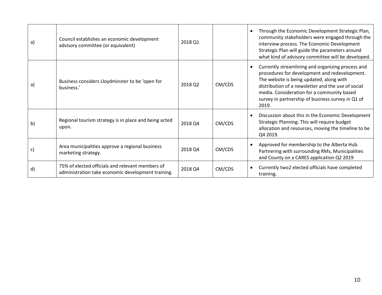| a) | Council establishes an economic development<br>advisory committee (or equivalent)                      | 2018 Q1 |        | Through the Economic Development Strategic Plan,<br>community stakeholders were engaged through the<br>interview process. The Economic Development<br>Strategic Plan will guide the parameters around<br>what kind of advisory committee will be developed.                                                      |
|----|--------------------------------------------------------------------------------------------------------|---------|--------|------------------------------------------------------------------------------------------------------------------------------------------------------------------------------------------------------------------------------------------------------------------------------------------------------------------|
| a) | Business considers Lloydminster to be 'open for<br>business.'                                          | 2018 Q2 | CM/CDS | Currently streamlining and organizing process and<br>procedures for development and redevelopment.<br>The website is being updated, along with<br>distribution of a newsletter and the use of social<br>media. Consideration for a community based<br>survey in partnership of business survey in Q1 of<br>2019. |
| b) | Regional tourism strategy is in place and being acted<br>upon.                                         | 2018 Q4 | CM/CDS | Discussion about this in the Economic Development<br>$\bullet$<br>Strategic Planning. This will require budget<br>allocation and resources, moving the timeline to be<br>Q4 2019.                                                                                                                                |
| c) | Area municipalities approve a regional business<br>marketing strategy.                                 | 2018 Q4 | CM/CDS | Approved for membership to the Alberta Hub.<br>Partnering with surrounding RMs, Municipalities<br>and County on a CARES application Q2 2019                                                                                                                                                                      |
| d) | 75% of elected officials and relevant members of<br>administration take economic development training. | 2018 Q4 | CM/CDS | Currently two2 elected officials have completed<br>training.                                                                                                                                                                                                                                                     |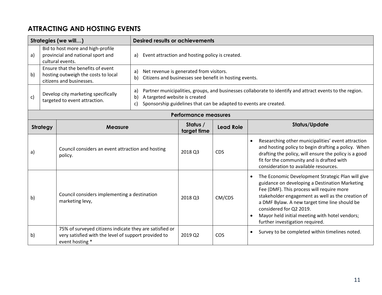# **ATTRACTING AND HOSTING EVENTS**

| <b>Strategies (we will)</b>                                                |  | <b>Desired results or achievements</b>                                                                                             |                                                       |                                                                                                                                                                                                                |                  |                                                                                                                                                                                                                                                                                                                                                                                     |  |  |  |
|----------------------------------------------------------------------------|--|------------------------------------------------------------------------------------------------------------------------------------|-------------------------------------------------------|----------------------------------------------------------------------------------------------------------------------------------------------------------------------------------------------------------------|------------------|-------------------------------------------------------------------------------------------------------------------------------------------------------------------------------------------------------------------------------------------------------------------------------------------------------------------------------------------------------------------------------------|--|--|--|
| a)                                                                         |  | Bid to host more and high-profile<br>provincial and national sport and<br>cultural events.                                         | Event attraction and hosting policy is created.<br>a) |                                                                                                                                                                                                                |                  |                                                                                                                                                                                                                                                                                                                                                                                     |  |  |  |
| b)                                                                         |  | Ensure that the benefits of event<br>hosting outweigh the costs to local<br>citizens and businesses.                               | a)<br>b)                                              | Net revenue is generated from visitors.<br>Citizens and businesses see benefit in hosting events.                                                                                                              |                  |                                                                                                                                                                                                                                                                                                                                                                                     |  |  |  |
| Develop city marketing specifically<br>c)<br>targeted to event attraction. |  |                                                                                                                                    | a)<br>b)<br>c)                                        | Partner municipalities, groups, and businesses collaborate to identify and attract events to the region.<br>A targeted website is created<br>Sponsorship guidelines that can be adapted to events are created. |                  |                                                                                                                                                                                                                                                                                                                                                                                     |  |  |  |
|                                                                            |  |                                                                                                                                    |                                                       | <b>Performance measures</b>                                                                                                                                                                                    |                  |                                                                                                                                                                                                                                                                                                                                                                                     |  |  |  |
| <b>Strategy</b><br><b>Measure</b>                                          |  |                                                                                                                                    |                                                       | Status /<br>target time                                                                                                                                                                                        | <b>Lead Role</b> | Status/Update                                                                                                                                                                                                                                                                                                                                                                       |  |  |  |
| a)                                                                         |  | Council considers an event attraction and hosting<br>policy.                                                                       |                                                       | 2018 Q3                                                                                                                                                                                                        | <b>CDS</b>       | Researching other municipalities' event attraction<br>and hosting policy to begin drafting a policy. When<br>drafting the policy, will ensure the policy is a good<br>fit for the community and is drafted with<br>consideration to available resources.                                                                                                                            |  |  |  |
| $\mathsf{b}$                                                               |  | Council considers implementing a destination<br>marketing levy,                                                                    |                                                       | 2018 Q3                                                                                                                                                                                                        | CM/CDS           | The Economic Development Strategic Plan will give<br>$\bullet$<br>guidance on developing a Destination Marketing<br>Fee (DMF). This process will require more<br>stakeholder engagement as well as the creation of<br>a DMF Bylaw. A new target time line should be<br>considered for Q2 2019.<br>Mayor held initial meeting with hotel vendors;<br>further investigation required. |  |  |  |
| b)                                                                         |  | 75% of surveyed citizens indicate they are satisfied or<br>very satisfied with the level of support provided to<br>event hosting * |                                                       | 2019 Q2                                                                                                                                                                                                        | COS              | Survey to be completed within timelines noted.<br>$\bullet$                                                                                                                                                                                                                                                                                                                         |  |  |  |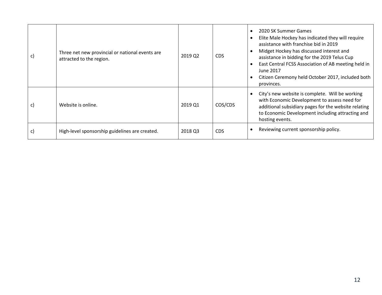| C) | Three net new provincial or national events are<br>attracted to the region. | 2019 Q2 | <b>CDS</b> | 2020 SK Summer Games<br>Elite Male Hockey has indicated they will require<br>assistance with franchise bid in 2019<br>Midget Hockey has discussed interest and<br>assistance in bidding for the 2019 Telus Cup<br>East Central FCSS Association of AB meeting held in<br>June 2017<br>Citizen Ceremony held October 2017, included both<br>provinces. |
|----|-----------------------------------------------------------------------------|---------|------------|-------------------------------------------------------------------------------------------------------------------------------------------------------------------------------------------------------------------------------------------------------------------------------------------------------------------------------------------------------|
| C) | Website is online.                                                          | 2019 Q1 | COS/CDS    | City's new website is complete. Will be working<br>with Economic Development to assess need for<br>additional subsidiary pages for the website relating<br>to Economic Development including attracting and<br>hosting events.                                                                                                                        |
| C) | High-level sponsorship guidelines are created.                              | 2018 Q3 | CDS        | Reviewing current sponsorship policy.                                                                                                                                                                                                                                                                                                                 |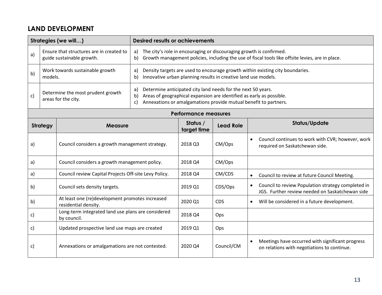#### **LAND DEVELOPMENT**

|    |                                                          | Strategies (we will)                                                    | <b>Desired results or achievements</b> |                                                                                                                                                                                                          |                  |                                                                                                                                                                         |  |  |  |
|----|----------------------------------------------------------|-------------------------------------------------------------------------|----------------------------------------|----------------------------------------------------------------------------------------------------------------------------------------------------------------------------------------------------------|------------------|-------------------------------------------------------------------------------------------------------------------------------------------------------------------------|--|--|--|
| a) |                                                          | Ensure that structures are in created to<br>guide sustainable growth.   | a)<br>b)                               |                                                                                                                                                                                                          |                  | The city's role in encouraging or discouraging growth is confirmed.<br>Growth management policies, including the use of fiscal tools like offsite levies, are in place. |  |  |  |
| b) | models.                                                  | Work towards sustainable growth                                         | a)<br>b)                               | Density targets are used to encourage growth within existing city boundaries.<br>Innovative urban planning results in creative land use models.                                                          |                  |                                                                                                                                                                         |  |  |  |
| c) | Determine the most prudent growth<br>areas for the city. |                                                                         | a)<br>b)<br>c)                         | Determine anticipated city land needs for the next 50 years.<br>Areas of geographical expansion are identified as early as possible.<br>Annexations or amalgamations provide mutual benefit to partners. |                  |                                                                                                                                                                         |  |  |  |
|    |                                                          |                                                                         |                                        | <b>Performance measures</b>                                                                                                                                                                              |                  |                                                                                                                                                                         |  |  |  |
|    | <b>Strategy</b><br><b>Measure</b>                        |                                                                         |                                        | Status /<br>target time                                                                                                                                                                                  | <b>Lead Role</b> | <b>Status/Update</b>                                                                                                                                                    |  |  |  |
| a) |                                                          | Council considers a growth management strategy.                         |                                        | 2018 Q3                                                                                                                                                                                                  | CM/Ops           | Council continues to work with CVR; however, work<br>$\bullet$<br>required on Saskatchewan side.                                                                        |  |  |  |
| a) |                                                          | Council considers a growth management policy.                           |                                        | 2018 Q4                                                                                                                                                                                                  | CM/Ops           |                                                                                                                                                                         |  |  |  |
| a) |                                                          | Council review Capital Projects Off-site Levy Policy.                   |                                        | 2018 Q4                                                                                                                                                                                                  | CM/CDS           | Council to review at future Council Meeting.<br>$\bullet$                                                                                                               |  |  |  |
| b) |                                                          | Council sets density targets.                                           |                                        | 2019 Q1                                                                                                                                                                                                  | CDS/Ops          | Council to review Population strategy completed in<br>$\bullet$<br>JGS. Further review needed on Saskatchewan side                                                      |  |  |  |
| b) |                                                          | At least one (re)development promotes increased<br>residential density. |                                        | 2020 Q1                                                                                                                                                                                                  | <b>CDS</b>       | Will be considered in a future development.<br>$\bullet$                                                                                                                |  |  |  |
| c) |                                                          | Long-term integrated land use plans are considered<br>by council.       |                                        | 2018 Q4                                                                                                                                                                                                  | Ops              |                                                                                                                                                                         |  |  |  |
| c) |                                                          | Updated prospective land use maps are created                           |                                        | 2019 Q1                                                                                                                                                                                                  | Ops              |                                                                                                                                                                         |  |  |  |
| C) |                                                          | Annexations or amalgamations are not contested.                         |                                        | 2020 Q4                                                                                                                                                                                                  | Council/CM       | Meetings have occurred with significant progress<br>$\bullet$<br>on relations with negotiations to continue.                                                            |  |  |  |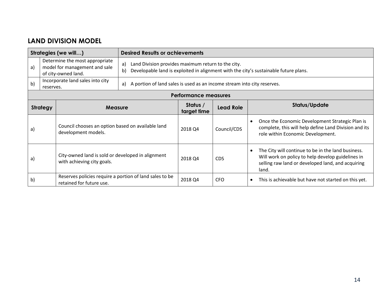#### **LAND DIVISION MODEL**

| Strategies (we will) |                                                                                                                                                          |                                                                                     |    | <b>Desired Results or achievements</b>                                  |                  |                                                                                                                                                                                    |  |  |  |
|----------------------|----------------------------------------------------------------------------------------------------------------------------------------------------------|-------------------------------------------------------------------------------------|----|-------------------------------------------------------------------------|------------------|------------------------------------------------------------------------------------------------------------------------------------------------------------------------------------|--|--|--|
| a)                   | Determine the most appropriate<br>Land Division provides maximum return to the city.<br>a)<br>model for management and sale<br>b)<br>of city-owned land. |                                                                                     |    |                                                                         |                  | Developable land is exploited in alignment with the city's sustainable future plans.                                                                                               |  |  |  |
| b)                   | reserves.                                                                                                                                                | Incorporate land sales into city                                                    | a) | A portion of land sales is used as an income stream into city reserves. |                  |                                                                                                                                                                                    |  |  |  |
|                      |                                                                                                                                                          |                                                                                     |    | <b>Performance measures</b>                                             |                  |                                                                                                                                                                                    |  |  |  |
| <b>Strategy</b>      |                                                                                                                                                          | <b>Measure</b>                                                                      |    | Status /<br>target time                                                 | <b>Lead Role</b> | Status/Update                                                                                                                                                                      |  |  |  |
| a)                   |                                                                                                                                                          | Council chooses an option based on available land<br>development models.            |    | 2018 Q4                                                                 | Council/CDS      | Once the Economic Development Strategic Plan is<br>$\bullet$<br>complete, this will help define Land Division and its<br>role within Economic Development.                         |  |  |  |
| a)                   |                                                                                                                                                          | City-owned land is sold or developed in alignment<br>with achieving city goals.     |    | 2018 Q4                                                                 | <b>CDS</b>       | The City will continue to be in the land business.<br>$\bullet$<br>Will work on policy to help develop guidelines in<br>selling raw land or developed land, and acquiring<br>land. |  |  |  |
| $\mathsf{b}$         |                                                                                                                                                          | Reserves policies require a portion of land sales to be<br>retained for future use. |    | 2018 Q4                                                                 | <b>CFO</b>       | This is achievable but have not started on this yet.<br>$\bullet$                                                                                                                  |  |  |  |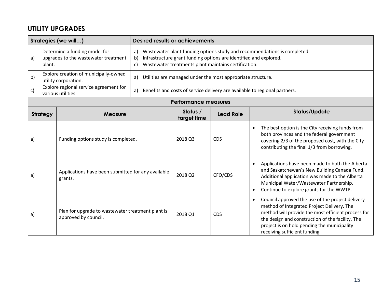### **UTILITY UPGRADES**

| Strategies (we will) |                                                                                 |                                                                           | <b>Desired results or achievements</b>                                                                                                                                                                                  |                             |                                                             |                                                                                                                                                                                                                                                                                                       |  |
|----------------------|---------------------------------------------------------------------------------|---------------------------------------------------------------------------|-------------------------------------------------------------------------------------------------------------------------------------------------------------------------------------------------------------------------|-----------------------------|-------------------------------------------------------------|-------------------------------------------------------------------------------------------------------------------------------------------------------------------------------------------------------------------------------------------------------------------------------------------------------|--|
| a)                   | Determine a funding model for<br>upgrades to the wastewater treatment<br>plant. |                                                                           | Wastewater plant funding options study and recommendations is completed.<br>a)<br>Infrastructure grant funding options are identified and explored.<br>b)<br>Wastewater treatments plant maintains certification.<br>C) |                             |                                                             |                                                                                                                                                                                                                                                                                                       |  |
| b)                   |                                                                                 | Explore creation of municipally-owned<br>utility corporation.             | a)                                                                                                                                                                                                                      |                             | Utilities are managed under the most appropriate structure. |                                                                                                                                                                                                                                                                                                       |  |
| c)                   |                                                                                 | Explore regional service agreement for<br>various utilities.              | a)                                                                                                                                                                                                                      |                             |                                                             | Benefits and costs of service delivery are available to regional partners.                                                                                                                                                                                                                            |  |
|                      |                                                                                 |                                                                           |                                                                                                                                                                                                                         | <b>Performance measures</b> |                                                             |                                                                                                                                                                                                                                                                                                       |  |
|                      | <b>Strategy</b><br><b>Measure</b>                                               |                                                                           |                                                                                                                                                                                                                         | Status /<br>target time     | <b>Lead Role</b>                                            | Status/Update                                                                                                                                                                                                                                                                                         |  |
| a)                   |                                                                                 | Funding options study is completed.                                       |                                                                                                                                                                                                                         | 2018 Q3                     | <b>CDS</b>                                                  | The best option is the City receiving funds from<br>both provinces and the federal government<br>covering 2/3 of the proposed cost, with the City<br>contributing the final 1/3 from borrowing.                                                                                                       |  |
| a)                   | Applications have been submitted for any available<br>grants.                   |                                                                           |                                                                                                                                                                                                                         | 2018 Q2                     | CFO/CDS                                                     | Applications have been made to both the Alberta<br>$\bullet$<br>and Saskatchewan's New Building Canada Fund.<br>Additional application was made to the Alberta<br>Municipal Water/Wastewater Partnership.<br>Continue to explore grants for the WWTP.                                                 |  |
| a)                   |                                                                                 | Plan for upgrade to wastewater treatment plant is<br>approved by council. |                                                                                                                                                                                                                         | 2018 Q1                     | <b>CDS</b>                                                  | Council approved the use of the project delivery<br>$\bullet$<br>method of Integrated Project Delivery. The<br>method will provide the most efficient process for<br>the design and construction of the facility. The<br>project is on hold pending the municipality<br>receiving sufficient funding. |  |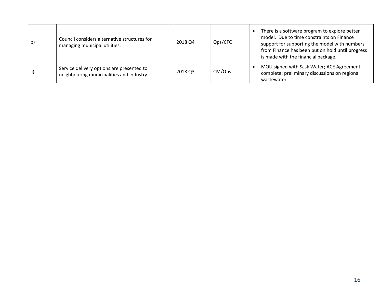| b) | Council considers alternative structures for<br>managing municipal utilities.          | 2018 Q4 | Ops/CFO | There is a software program to explore better<br>model. Due to time constraints on Finance<br>support for supporting the model with numbers<br>from Finance has been put on hold until progress<br>is made with the financial package. |
|----|----------------------------------------------------------------------------------------|---------|---------|----------------------------------------------------------------------------------------------------------------------------------------------------------------------------------------------------------------------------------------|
| C) | Service delivery options are presented to<br>neighbouring municipalities and industry. | 2018 Q3 | CM/Ops  | MOU signed with Sask Water; ACE Agreement<br>complete; preliminary discussions on regional<br>wastewater                                                                                                                               |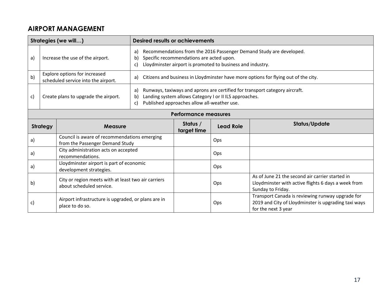# **AIRPORT MANAGEMENT**

| Strategies (we will) |                                                    | <b>Desired results or achievements</b>                                          |                                                                                                                                                                                                        |                                                                                                                                                                               |                  |                                                                                                                                 |  |  |  |
|----------------------|----------------------------------------------------|---------------------------------------------------------------------------------|--------------------------------------------------------------------------------------------------------------------------------------------------------------------------------------------------------|-------------------------------------------------------------------------------------------------------------------------------------------------------------------------------|------------------|---------------------------------------------------------------------------------------------------------------------------------|--|--|--|
| a)                   | a)<br>Increase the use of the airport.<br>b)<br>c) |                                                                                 |                                                                                                                                                                                                        | Recommendations from the 2016 Passenger Demand Study are developed.<br>Specific recommendations are acted upon.<br>Lloydminster airport is promoted to business and industry. |                  |                                                                                                                                 |  |  |  |
| b)                   |                                                    | Explore options for increased<br>scheduled service into the airport.            | a)                                                                                                                                                                                                     | Citizens and business in Lloydminster have more options for flying out of the city.                                                                                           |                  |                                                                                                                                 |  |  |  |
| c)                   | Create plans to upgrade the airport.               |                                                                                 | Runways, taxiways and aprons are certified for transport category aircraft.<br>a)<br>Landing system allows Category I or II ILS approaches.<br>b)<br>Published approaches allow all-weather use.<br>c) |                                                                                                                                                                               |                  |                                                                                                                                 |  |  |  |
|                      |                                                    |                                                                                 |                                                                                                                                                                                                        | <b>Performance measures</b>                                                                                                                                                   |                  |                                                                                                                                 |  |  |  |
|                      | <b>Strategy</b>                                    | <b>Measure</b>                                                                  |                                                                                                                                                                                                        | Status /<br>target time                                                                                                                                                       | <b>Lead Role</b> | <b>Status/Update</b>                                                                                                            |  |  |  |
| a)                   |                                                    | Council is aware of recommendations emerging<br>from the Passenger Demand Study |                                                                                                                                                                                                        |                                                                                                                                                                               | Ops              |                                                                                                                                 |  |  |  |
| a)                   |                                                    | City administration acts on accepted<br>recommendations.                        |                                                                                                                                                                                                        |                                                                                                                                                                               | Ops              |                                                                                                                                 |  |  |  |
| a)                   |                                                    | Lloydminster airport is part of economic<br>development strategies.             |                                                                                                                                                                                                        |                                                                                                                                                                               | Ops              |                                                                                                                                 |  |  |  |
| b)                   |                                                    | City or region meets with at least two air carriers<br>about scheduled service. |                                                                                                                                                                                                        |                                                                                                                                                                               | Ops              | As of June 21 the second air carrier started in<br>Lloydminster with active flights 6 days a week from<br>Sunday to Friday.     |  |  |  |
| c)                   |                                                    | Airport infrastructure is upgraded, or plans are in<br>place to do so.          |                                                                                                                                                                                                        |                                                                                                                                                                               | Ops              | Transport Canada is reviewing runway upgrade for<br>2019 and City of Lloydminster is upgrading taxi ways<br>for the next 3 year |  |  |  |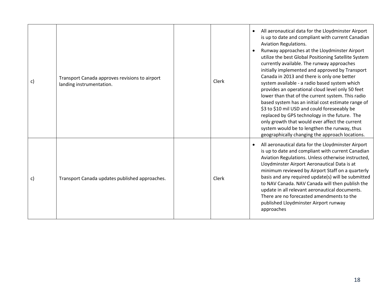| C) | Transport Canada approves revisions to airport<br>landing instrumentation. | Clerk | All aeronautical data for the Lloydminster Airport<br>is up to date and compliant with current Canadian<br><b>Aviation Regulations.</b><br>Runway approaches at the Lloydminster Airport<br>utilize the best Global Positioning Satellite System<br>currently available. The runway approaches<br>initially implemented and approved by Transport<br>Canada in 2013 and there is only one better<br>system available - a radio based system which<br>provides an operational cloud level only 50 feet<br>lower than that of the current system. This radio<br>based system has an initial cost estimate range of<br>\$3 to \$10 mil USD and could foreseeably be<br>replaced by GPS technology in the future. The<br>only growth that would ever affect the current<br>system would be to lengthen the runway, thus<br>geographically changing the approach locations. |
|----|----------------------------------------------------------------------------|-------|------------------------------------------------------------------------------------------------------------------------------------------------------------------------------------------------------------------------------------------------------------------------------------------------------------------------------------------------------------------------------------------------------------------------------------------------------------------------------------------------------------------------------------------------------------------------------------------------------------------------------------------------------------------------------------------------------------------------------------------------------------------------------------------------------------------------------------------------------------------------|
| C) | Transport Canada updates published approaches.                             | Clerk | All aeronautical data for the Lloydminster Airport<br>is up to date and compliant with current Canadian<br>Aviation Regulations. Unless otherwise instructed,<br>Lloydminster Airport Aeronautical Data is at<br>minimum reviewed by Airport Staff on a quarterly<br>basis and any required update(s) will be submitted<br>to NAV Canada. NAV Canada will then publish the<br>update in all relevant aeronautical documents.<br>There are no forecasted amendments to the<br>published Lloydminster Airport runway<br>approaches                                                                                                                                                                                                                                                                                                                                       |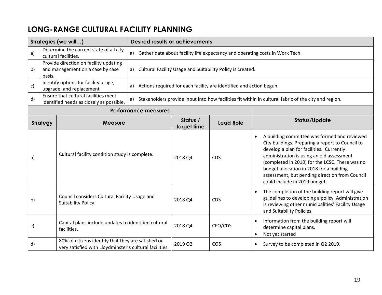# **LONG-RANGE CULTURAL FACILITY PLANNING**

| Strategies (we will) |                                                                      |                                                                                                                | <b>Desired results or achievements</b> |                         |                                                                     |                                                                                                                                                                                                                                                                                                                                                                            |  |
|----------------------|----------------------------------------------------------------------|----------------------------------------------------------------------------------------------------------------|----------------------------------------|-------------------------|---------------------------------------------------------------------|----------------------------------------------------------------------------------------------------------------------------------------------------------------------------------------------------------------------------------------------------------------------------------------------------------------------------------------------------------------------------|--|
| a)                   |                                                                      | Determine the current state of all city<br>cultural facilities.                                                |                                        |                         |                                                                     | a) Gather data about facility life expectancy and operating costs in Work Tech.                                                                                                                                                                                                                                                                                            |  |
| b)                   | basis.                                                               | Provide direction on facility updating<br>and management on a case by case                                     |                                        |                         | a) Cultural Facility Usage and Suitability Policy is created.       |                                                                                                                                                                                                                                                                                                                                                                            |  |
| c)                   |                                                                      | Identify options for facility usage,<br>upgrade, and replacement                                               | a)                                     |                         | Actions required for each facility are identified and action begun. |                                                                                                                                                                                                                                                                                                                                                                            |  |
| d)                   |                                                                      | Ensure that cultural facilities meet<br>identified needs as closely as possible.                               | a)                                     |                         |                                                                     | Stakeholders provide input into how facilities fit within in cultural fabric of the city and region.                                                                                                                                                                                                                                                                       |  |
|                      |                                                                      |                                                                                                                | <b>Performance measures</b>            |                         |                                                                     |                                                                                                                                                                                                                                                                                                                                                                            |  |
|                      | <b>Strategy</b>                                                      | <b>Measure</b>                                                                                                 |                                        | Status /<br>target time | <b>Lead Role</b>                                                    | <b>Status/Update</b>                                                                                                                                                                                                                                                                                                                                                       |  |
| a)                   |                                                                      | Cultural facility condition study is complete.                                                                 |                                        | 2018 Q4                 | <b>CDS</b>                                                          | A building committee was formed and reviewed<br>City buildings. Preparing a report to Council to<br>develop a plan for facilities. Currently<br>administration is using an old assessment<br>(completed in 2010) for the LCSC. There was no<br>budget allocation in 2018 for a building<br>assessment, but pending direction from Council<br>could include in 2019 budget. |  |
| b)                   | Council considers Cultural Facility Usage and<br>Suitability Policy. |                                                                                                                |                                        | 2018 Q4                 | <b>CDS</b>                                                          | The completion of the building report will give<br>guidelines to developing a policy. Administration<br>is reviewing other municipalities' Facility Usage<br>and Suitability Policies.                                                                                                                                                                                     |  |
| C)                   |                                                                      | Capital plans include updates to identified cultural<br>facilities.                                            |                                        | 2018 Q4                 | CFO/CDS                                                             | Information from the building report will<br>$\bullet$<br>determine capital plans.<br>Not yet started<br>$\bullet$                                                                                                                                                                                                                                                         |  |
| d)                   |                                                                      | 80% of citizens identify that they are satisfied or<br>very satisfied with Lloydminster's cultural facilities. |                                        | 2019 Q2                 | COS                                                                 | Survey to be completed in Q2 2019.<br>$\bullet$                                                                                                                                                                                                                                                                                                                            |  |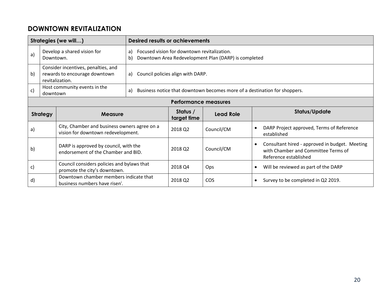#### **DOWNTOWN REVITALIZATION**

| Strategies (we will) |                                                                                               |                                                                                      |    | <b>Desired results or achievements</b>      |                                                      |                                                                                                                             |  |  |
|----------------------|-----------------------------------------------------------------------------------------------|--------------------------------------------------------------------------------------|----|---------------------------------------------|------------------------------------------------------|-----------------------------------------------------------------------------------------------------------------------------|--|--|
| a)                   | Develop a shared vision for<br>a)<br>Downtown.<br>b)                                          |                                                                                      |    | Focused vision for downtown revitalization. | Downtown Area Redevelopment Plan (DARP) is completed |                                                                                                                             |  |  |
| b)                   | Consider incentives, penalties, and<br>rewards to encourage downtown<br>a)<br>revitalization. |                                                                                      |    | Council policies align with DARP.           |                                                      |                                                                                                                             |  |  |
| c)                   | downtown                                                                                      | Host community events in the                                                         | a) |                                             |                                                      | Business notice that downtown becomes more of a destination for shoppers.                                                   |  |  |
|                      | <b>Performance measures</b>                                                                   |                                                                                      |    |                                             |                                                      |                                                                                                                             |  |  |
|                      | <b>Strategy</b>                                                                               | <b>Measure</b>                                                                       |    | Status /<br>target time                     | <b>Lead Role</b>                                     | Status/Update                                                                                                               |  |  |
| a)                   |                                                                                               | City, Chamber and business owners agree on a<br>vision for downtown redevelopment.   |    | 2018 Q2                                     | Council/CM                                           | DARP Project approved, Terms of Reference<br>$\bullet$<br>established                                                       |  |  |
| $\mathsf{b}$         |                                                                                               | DARP is approved by council, with the<br>endorsement of the Chamber and BID.         |    | 2018 Q2                                     | Council/CM                                           | Consultant hired - approved in budget. Meeting<br>$\bullet$<br>with Chamber and Committee Terms of<br>Reference established |  |  |
| c)                   | Council considers policies and bylaws that<br>promote the city's downtown.                    |                                                                                      |    | 2018 Q4                                     | Ops                                                  | Will be reviewed as part of the DARP<br>$\bullet$                                                                           |  |  |
| d)                   |                                                                                               | Downtown chamber members indicate that<br>business numbers have risen <sup>i</sup> . |    | 2018 Q2                                     | <b>COS</b>                                           | Survey to be completed in Q2 2019.<br>$\bullet$                                                                             |  |  |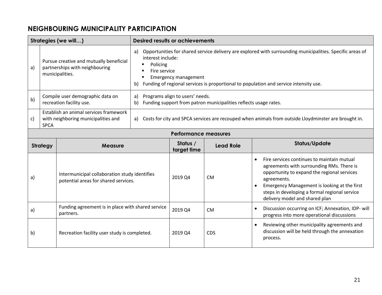#### **NEIGHBOURING MUNICIPALITY PARTICIPATION**

| Strategies (we will) |                                                                                                                                                           |                                                                                       | <b>Desired results or achievements</b> |                                                                                                     |                  |                                                                                                                                                                                                                                                                                                       |  |  |
|----------------------|-----------------------------------------------------------------------------------------------------------------------------------------------------------|---------------------------------------------------------------------------------------|----------------------------------------|-----------------------------------------------------------------------------------------------------|------------------|-------------------------------------------------------------------------------------------------------------------------------------------------------------------------------------------------------------------------------------------------------------------------------------------------------|--|--|
| a)                   | a)<br>interest include:<br>Pursue creative and mutually beneficial<br>Policing<br>partnerships with neighbouring<br>Fire service<br>municipalities.<br>b) |                                                                                       |                                        | <b>Emergency management</b>                                                                         |                  | Opportunities for shared service delivery are explored with surrounding municipalities. Specific areas of<br>Funding of regional services is proportional to population and service intensity use.                                                                                                    |  |  |
| b)                   |                                                                                                                                                           | Compile user demographic data on<br>recreation facility use.                          | a)<br>b)                               | Programs align to users' needs.<br>Funding support from patron municipalities reflects usage rates. |                  |                                                                                                                                                                                                                                                                                                       |  |  |
| c)                   | Establish an animal services framework<br>with neighboring municipalities and<br>a)<br><b>SPCA</b>                                                        |                                                                                       |                                        |                                                                                                     |                  | Costs for city and SPCA services are recouped when animals from outside Lloydminster are brought in.                                                                                                                                                                                                  |  |  |
|                      | <b>Performance measures</b>                                                                                                                               |                                                                                       |                                        |                                                                                                     |                  |                                                                                                                                                                                                                                                                                                       |  |  |
|                      | <b>Strategy</b>                                                                                                                                           | <b>Measure</b>                                                                        |                                        | Status /<br>target time                                                                             | <b>Lead Role</b> | Status/Update                                                                                                                                                                                                                                                                                         |  |  |
| a)                   |                                                                                                                                                           | Intermunicipal collaboration study identifies<br>potential areas for shared services. |                                        | 2019 Q4                                                                                             | <b>CM</b>        | Fire services continues to maintain mutual<br>$\bullet$<br>agreements with surrounding RMs. There is<br>opportunity to expand the regional services<br>agreements.<br>Emergency Management is looking at the first<br>steps in developing a formal regional service<br>delivery model and shared plan |  |  |
| a)                   |                                                                                                                                                           | Funding agreement is in place with shared service<br>partners.                        |                                        | 2019 Q4                                                                                             | <b>CM</b>        | Discussion occurring on ICF; Annexation, IDP- will<br>$\bullet$<br>progress into more operational discussions                                                                                                                                                                                         |  |  |
| b)                   |                                                                                                                                                           | Recreation facility user study is completed.                                          |                                        | 2019 Q4                                                                                             | <b>CDS</b>       | Reviewing other municipality agreements and<br>$\bullet$<br>discussion will be held through the annexation<br>process.                                                                                                                                                                                |  |  |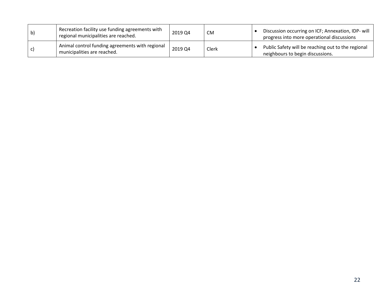| $\mathbf{b}$ | Recreation facility use funding agreements with<br>regional municipalities are reached. | 2019 Q4 | <b>CM</b> | Discussion occurring on ICF; Annexation, IDP- will<br>progress into more operational discussions |
|--------------|-----------------------------------------------------------------------------------------|---------|-----------|--------------------------------------------------------------------------------------------------|
|              | Animal control funding agreements with regional<br>municipalities are reached.          | 2019 Q4 | Clerk     | Public Safety will be reaching out to the regional<br>neighbours to begin discussions.           |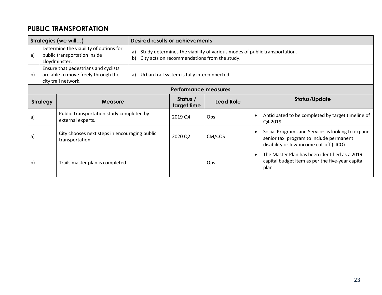# **PUBLIC TRANSPORTATION**

| Strategies (we will)                                                                                     |                                                                                                     |                                                                  | <b>Desired results or achievements</b> |                                                                                                                           |                  |                                                                                                                                                       |  |  |
|----------------------------------------------------------------------------------------------------------|-----------------------------------------------------------------------------------------------------|------------------------------------------------------------------|----------------------------------------|---------------------------------------------------------------------------------------------------------------------------|------------------|-------------------------------------------------------------------------------------------------------------------------------------------------------|--|--|
| a)                                                                                                       | Determine the viability of options for<br>a)<br>public transportation inside<br>b)<br>Lloydminster. |                                                                  |                                        | Study determines the viability of various modes of public transportation.<br>City acts on recommendations from the study. |                  |                                                                                                                                                       |  |  |
| Ensure that pedestrians and cyclists<br>are able to move freely through the<br>b)<br>city trail network. |                                                                                                     | Urban trail system is fully interconnected.<br>a)                |                                        |                                                                                                                           |                  |                                                                                                                                                       |  |  |
|                                                                                                          | <b>Performance measures</b>                                                                         |                                                                  |                                        |                                                                                                                           |                  |                                                                                                                                                       |  |  |
|                                                                                                          | <b>Strategy</b>                                                                                     | <b>Measure</b>                                                   |                                        | Status /<br>target time                                                                                                   | <b>Lead Role</b> | Status/Update                                                                                                                                         |  |  |
| a)                                                                                                       |                                                                                                     | Public Transportation study completed by<br>external experts.    |                                        | 2019 Q4                                                                                                                   | Ops              | Anticipated to be completed by target timeline of<br>$\bullet$<br>Q4 2019                                                                             |  |  |
| a)                                                                                                       |                                                                                                     | City chooses next steps in encouraging public<br>transportation. |                                        | 2020 Q2                                                                                                                   | CM/COS           | Social Programs and Services is looking to expand<br>$\bullet$<br>senior taxi program to include permanent<br>disability or low-income cut-off (LICO) |  |  |
| b)                                                                                                       |                                                                                                     | Trails master plan is completed.                                 |                                        |                                                                                                                           | Ops              | The Master Plan has been identified as a 2019<br>$\bullet$<br>capital budget item as per the five-year capital<br>plan                                |  |  |